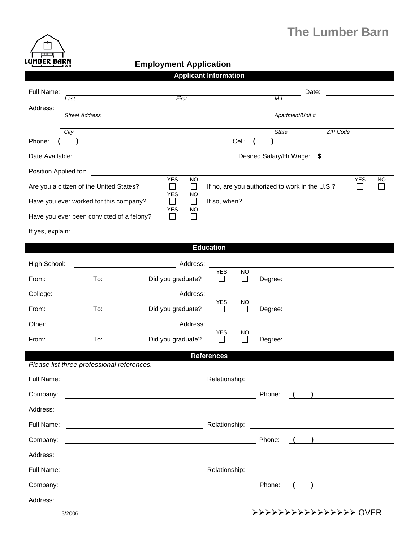

## **Employment Application**<br> **Employment Application**

| <b>Applicant Information</b>                                                                                                                                                                                                                |                                                                                           |                                                                            |  |  |  |  |  |
|---------------------------------------------------------------------------------------------------------------------------------------------------------------------------------------------------------------------------------------------|-------------------------------------------------------------------------------------------|----------------------------------------------------------------------------|--|--|--|--|--|
| Full Name:                                                                                                                                                                                                                                  | Date:                                                                                     |                                                                            |  |  |  |  |  |
| First<br>Last<br>Address:                                                                                                                                                                                                                   | M.I.                                                                                      |                                                                            |  |  |  |  |  |
| <b>Street Address</b>                                                                                                                                                                                                                       | Apartment/Unit #                                                                          |                                                                            |  |  |  |  |  |
| City                                                                                                                                                                                                                                        | <b>State</b>                                                                              | ZIP Code                                                                   |  |  |  |  |  |
| Phone:<br>$\frac{1}{2}$ . The contract of the contract of the contract of the contract of the contract of the contract of the contract of the contract of the contract of the contract of the contract of the contract of the contract of t | Cell: ( )                                                                                 |                                                                            |  |  |  |  |  |
| Date Available:                                                                                                                                                                                                                             | Desired Salary/Hr Wage: \$                                                                |                                                                            |  |  |  |  |  |
| Position Applied for:<br><b>YES</b>                                                                                                                                                                                                         | NO                                                                                        | <b>YES</b><br>NO                                                           |  |  |  |  |  |
| Are you a citizen of the United States?<br>$\mathsf{I}$<br><b>YES</b>                                                                                                                                                                       | If no, are you authorized to work in the U.S.?<br>$\Box$<br>NO                            |                                                                            |  |  |  |  |  |
| Have you ever worked for this company?<br>$\Box$<br><b>YES</b>                                                                                                                                                                              | If so, when?<br>$\perp$<br><u> 1989 - Andrea State Barbara, amerikan per</u><br><b>NO</b> |                                                                            |  |  |  |  |  |
| Have you ever been convicted of a felony?<br>$\mathsf{I}$                                                                                                                                                                                   | $\Box$                                                                                    |                                                                            |  |  |  |  |  |
| If yes, explain: The state of the state of the state of the state of the state of the state of the state of the state of the state of the state of the state of the state of the state of the state of the state of the state               |                                                                                           |                                                                            |  |  |  |  |  |
| <b>Education</b>                                                                                                                                                                                                                            |                                                                                           |                                                                            |  |  |  |  |  |
| High School:                                                                                                                                                                                                                                |                                                                                           |                                                                            |  |  |  |  |  |
| From:<br>To: Did you graduate?                                                                                                                                                                                                              | <b>YES</b><br>NO<br>$\Box$<br>$\mathbf{L}$<br>Degree:                                     |                                                                            |  |  |  |  |  |
| College:<br>Address:                                                                                                                                                                                                                        |                                                                                           |                                                                            |  |  |  |  |  |
| To: Did you graduate?<br>From:                                                                                                                                                                                                              | <b>YES</b><br><b>NO</b><br>$\Box$<br>$\perp$<br>Degree:                                   |                                                                            |  |  |  |  |  |
| Other:                                                                                                                                                                                                                                      |                                                                                           |                                                                            |  |  |  |  |  |
| To: Did you graduate?<br>From:                                                                                                                                                                                                              | <b>YES</b><br><b>NO</b><br>$\mathsf{L}$<br>Degree:<br>$\mathsf{L}$                        |                                                                            |  |  |  |  |  |
|                                                                                                                                                                                                                                             | <b>References</b>                                                                         |                                                                            |  |  |  |  |  |
| Please list three professional references.                                                                                                                                                                                                  |                                                                                           |                                                                            |  |  |  |  |  |
| Full Name:<br>Relationship:                                                                                                                                                                                                                 |                                                                                           |                                                                            |  |  |  |  |  |
| Company:<br><u> 1989 - Johann Barn, fransk politik (d. 1989)</u>                                                                                                                                                                            | Phone:                                                                                    | $\left(\begin{array}{cc} 1 & 1 \end{array}\right)$                         |  |  |  |  |  |
|                                                                                                                                                                                                                                             |                                                                                           |                                                                            |  |  |  |  |  |
| Full Name:                                                                                                                                                                                                                                  |                                                                                           |                                                                            |  |  |  |  |  |
| Company:<br><u> 1980 - Johann Stone, mars et al. (</u>                                                                                                                                                                                      | Phone:                                                                                    | $\left(\begin{array}{c} \begin{array}{c} \end{array}\\ \end{array}\right)$ |  |  |  |  |  |
|                                                                                                                                                                                                                                             |                                                                                           |                                                                            |  |  |  |  |  |
| Full Name:                                                                                                                                                                                                                                  |                                                                                           |                                                                            |  |  |  |  |  |
|                                                                                                                                                                                                                                             | Phone:                                                                                    | $\begin{pmatrix} 1 & 1 \end{pmatrix}$                                      |  |  |  |  |  |
|                                                                                                                                                                                                                                             |                                                                                           |                                                                            |  |  |  |  |  |
| 3/2006                                                                                                                                                                                                                                      | >>>>>>>>>>>>>>>>>>>>> OVER                                                                |                                                                            |  |  |  |  |  |